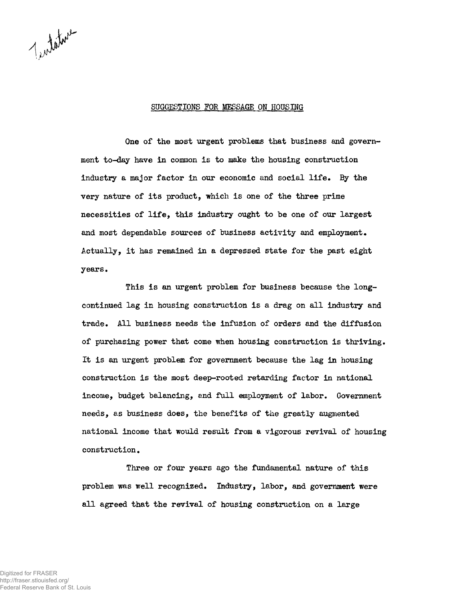Indature

## SUGGESTIONS FOR MESSAGE ON HOUSING

One of the most urgent problems that business and government to-day have in common is to make the housing construction industry a major factor in our economic and social life. By the very nature of its product, which is one of the three prime necessities of life, this industry ought to be one of our largest and most dependable sources of business activity and employment. Actually, it has remained in a depressed state for the past eight years.

This is an urgent problem for business because the longcontinued lag in housing construction is a drag on all industry and trade. All business needs the infusion of orders and the diffusion of purchasing power that come when housing construction is thriving. It is an urgent problem for government because the lag in housing construction is the most deep-rooted retarding factor in national income, budget balancing, and full employment of labor. Government needs, as business does, the benefits of the greatly augmented national income that would result from a vigorous revival of housing construction.

Three or four years ago the fundamental nature of this problem was well recognized. Industry, labor, and government were all agreed that the revival of housing construction on a large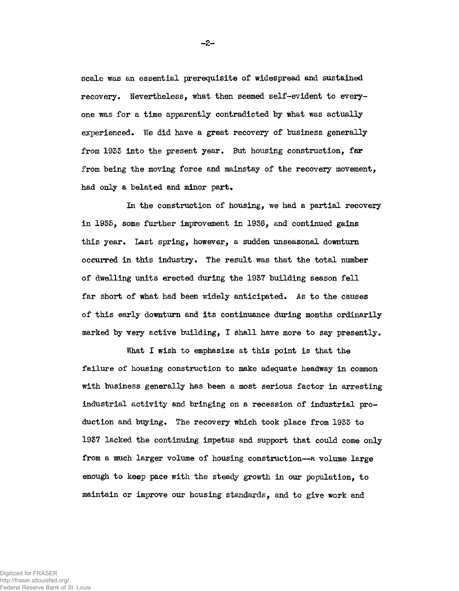scale was an essential prerequisite of widespread and sustained recovery• Nevertheless, what then seemed self-evident to everyone was for a time apparently contradicted by what was actually experienced. We did have a great recovery of business generally from 19S3 into the present year. But housing construction, far from being the moving force and mainstay of the recovery movement, had only a belated and minor part.

In the construction of housing, we had a partial recovery in 1935, some further improvement in 1936, and continued gains this year. Last spring, however, a sudden unseasonal downturn occurred in this industry. The result was that the total number of dwelling units erected during the 1937 building season fell far short of what had been widely anticipated. As to the causes of this early downturn and its continuance during months ordinarily marked by very active building, I shall have more to say presently.

What I wish to emphasize at this point is that the failure of housing construction to make adequate headway in common with business generally has been a most serious factor in arresting industrial activity and bringing on a recession of industrial production and buying. The recovery which took place from 1933 to 1937 lacked the continuing impetus and support that could come only from a much larger volume of housing construction—a volume large enough to keep pace with the steady growth in our population, to maintain or improve our housing standards, and to give work and

-2-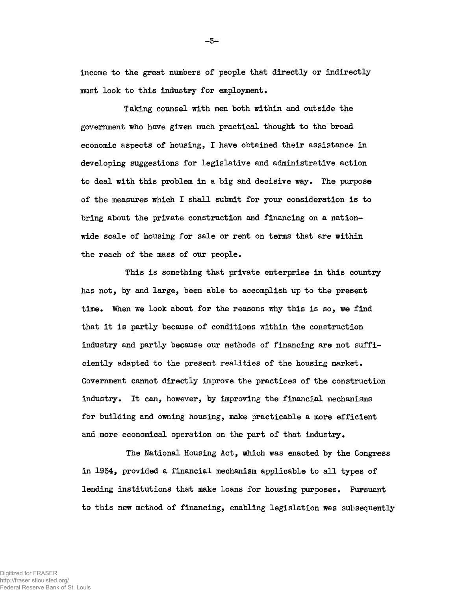income to the great numbers of people that directly or indirectly must look to this industry for employment.

Taking counsel with men both within and outside the government who have given much practical thought to the broad economic aspects of housing, I have obtained their assistance in developing suggestions for legislative and administrative action to deal with this problem in a big and decisive way. The purpose of the measures which I shall submit for your consideration is to bring about the private construction and financing on a nationwide scale of housing for sale or rent on terms that are within the reach of the mass of our people.

This is something that private enterprise in this country has not, by and large, been able to accomplish up to the present time. When we look about for the reasons why this is so, we find that it is partly because of conditions within the construction industry and partly because our methods of financing are not sufficiently adapted to the present realities of the housing market. Government cannot directly improve the practices of the construction industry. It can, however, by improving the financial mechanisms for building and owning housing, make practicable a more efficient and more economical operation on the part of that industry.

The National Housing Act, which was enacted by the Congress in 1934, provided a financial mechanism applicable to all types of lending institutions that make loans for housing purposes. Pursuant to this new method of financing, enabling legislation was subsequently

Digitized for FRASER http://fraser.stlouisfed.org/ Federal Reserve Bank of St. Louis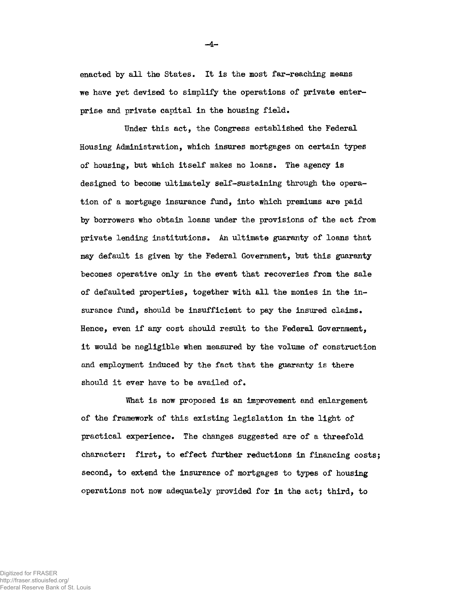enacted by all the States. It is the most far-reaching means we have yet devised to simplify the operations of private enterprise and private capital in the housing field.

Under this act, the Congress established the Federal Housing Administration, which insures mortgages on certain types of housing, but which itself makes no loans. The agency is designed to become ultimately self-sustaining through the operation of a mortgage insurance fund, into which premiums are paid by borrowers who obtain loans under the provisions of the act from private lending institutions. An ultimate guaranty of loans that may default is given by the Federal Government, but this guaranty becomes operative only in the event that recoveries from the sale of defaulted properties, together with all the monies in the insurance fund, should be insufficient to pay the insured claims. Hence, even if any cost should result to the Federal Government, it would be negligible when measured by the volume of construction and employment induced by the fact that the guaranty is there should it ever have to be availed of.

What is now proposed is an improvement and enlargement of the framework of this existing legislation in the light of practical experience. The changes suggested are of a threefold character: first, to effect further reductions in financing costs; second, to extend the insurance of mortgages to types of housing operations not now adequately provided for in the act; third, to

 $-4-$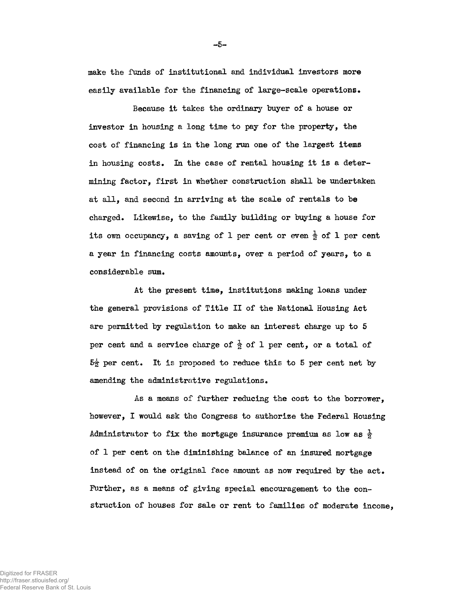make the funds of institutional and individual investors more easily available for the financing of large-scale operations.

Because it takes the ordinary buyer of a house or investor in housing a long time to pay for the property, the cost of financing is in the long run one of the largest items in housing costs. In the case of rental housing it is a determining factor, first in whether construction shall be undertaken at all, and second in arriving at the scale of rentals to be charged. Likewise, to the family building or buying a house for its own occupancy, a saving of 1 per cent or even  $\frac{1}{2}$  of 1 per cent a year in financing costs amounts, over a period of years, to a considerable sum.

At the present time, institutions making loans under the general provisions of Title II of the National Housing Act are permitted by regulation to make an interest charge up to 5 per cent and a service charge of  $\frac{1}{2}$  of 1 per cent, or a total of  $5\frac{1}{2}$  per cent. It is proposed to reduce this to 5 per cent net by amending the administrative regulations.

As a means of further reducing the cost to the borrower, however, I would ask the Congress to authorize the Federal Housing Administrator to fix the mortgage insurance premium as low as  $\frac{1}{2}$ of 1 per cent on the diminishing balance of an insured mortgage instead of on the original face amount as now required by the act. Further, as a means of giving special encouragement to the construction of houses for sale or rent to families of moderate income,

Digitized for FRASER http://fraser.stlouisfed.org/ Federal Reserve Bank of St. Louis -5-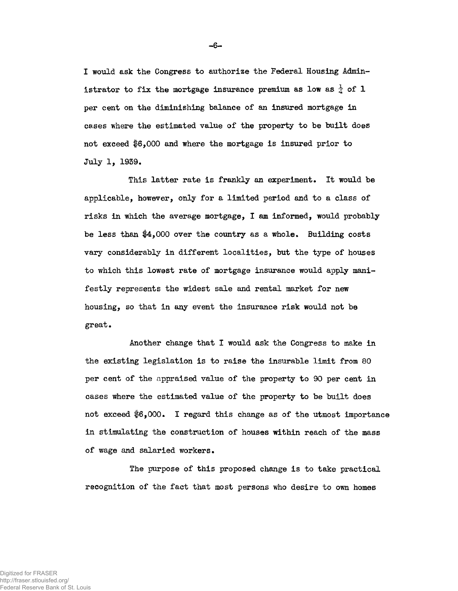I would ask the Congress to authorize the Federal Housing Administrator to fix the mortgage insurance premium as low as  $\frac{1}{4}$  of 1 per cent on the diminishing balance of an insured mortgage in cases where the estimated value of the property to be built does not exceed \$6,000 and where the mortgage is insured prior to July 1, 1939.

This latter rate is frankly an experiment. It would be applicable, however, only for a limited period and to a class of risks in which the average mortgage, I am informed, would probably be less than \$4,000 over the country as a whole. Building costs vary considerably in different localities, but the type of houses to which this lowest rate of mortgage insurance would apply manifestly represents the widest sale and rental market for new housing, so that in any event the insurance risk would not be great•

Another change that I would ask the Congress to make in the existing legislation is to raise the insurable limit from 80 per cent of the appraised value of the property to 90 per cent in cases where the estimated value of the property to be built does not exceed \$6,000. I regard this change as of the utmost importance In stimulating the construction of houses within reach of the mass of wage and salaried workers.

The purpose of this proposed change is to take practical recognition of the fact that most persons who desire to own homes

 $-6-$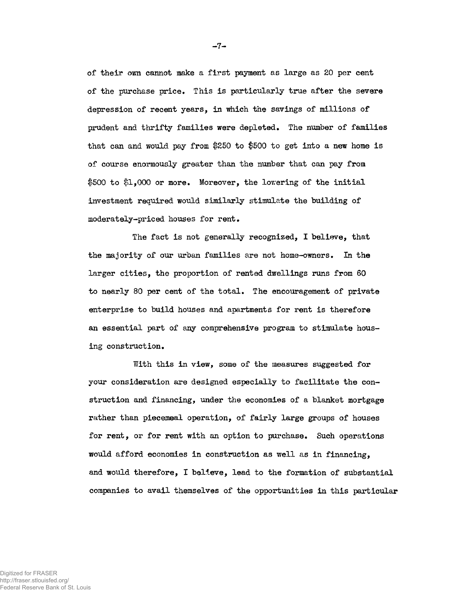of their own cannot make a first payment as large as 20 per cent of the purchase price. This is particularly true after the severe depression of recent years, in which the savings of millions of prudent and thrifty families were depleted. The number of families that can and would pay from \$250 to \$500 to get into a new home is of course enormously greater than the number that can pay from \$500 to \$1,000 or more. Moreover, the lowering of the initial investment required would similarly stimulate the building of moderately-priced houses for rent.

The fact is not generally recognized, I believe, that the majority of our urban families are not home-owners. In the larger cities, the proportion of rented dwellings runs from 60 to nearly 80 per cent of the total. The encouragement of private enterprise to build houses and apartments for rent is therefore an essential part of any comprehensive program to stimulate housing construction.

With this in view, some of the measures suggested for your consideration are designed especially to facilitate the construction and financing, under the economies of a blanket mortgage rather than piecemeal operation, of fairly large groups of houses for rent, or for rent with an option to purchase. Such operations would afford economies in construction as well as in financing, and would therefore, I believe, lead to the formation of substantial companies to avail themselves of the opportunities in this particular

 $-7-$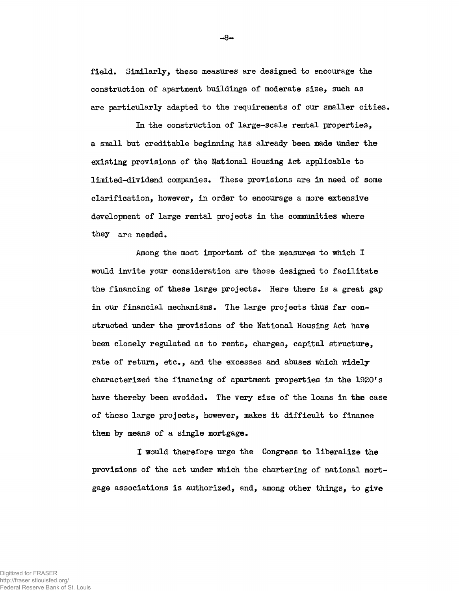field. Similarly, these measures are designed to encourage the construction of apartment buildings of moderate size, such as are particularly adapted to the requirements of our smaller cities.

In the construction of large-scale rental properties, a small but creditable beginning has already been made under the existing provisions of the National Housing Act applicable to limited-dividend companies. These provisions are in need of some clarification, however, in order to encourage a more extensive development of large rental projects in the communities where they are needed.

Among the most important of the measures to which I would invite your consideration are those designed to facilitate the financing of these large projects. Here there is a great gap in our financial mechanisms. The large projects thus far constructed under the provisions of the National Housing Act have been closely regulated as to rents, charges, capital structure, rate of return, etc., and the excesses and abuses which widely characterized the financing of apartment properties in the 1920's have thereby been avoided. The very size of the loans in the case of these large projects, however, makes it difficult to finance them by means of a single mortgage.

I would therefore urge the Congress to liberalize the provisions of the act under which the chartering of national mortgage associations is authorized, and, among other things, to give

-8-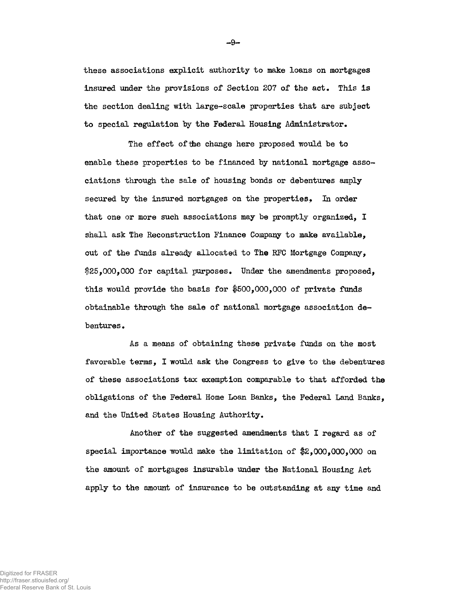these associations explicit authority to make loans on mortgages insured under the provisions of Section 207 of the act. This is the section dealing with large-scale properties that are subject to special regulation by the Federal Housing Administrator •

The effect of the change here proposed would be to enable these properties to be financed by national mortgage associations through the sale of housing bonds or debentures amply secured by the insured mortgages on the properties. In order that one or more such associations may be promptly organized, I shall ask The Reconstruction Finance Company to make available, out of the funds already allocated to The EFC Mortgage Company, \$25,000,000 for capital purposes. Under the amendments proposed, this would provide the basis for  $$500,000,000$  of private funds obtainable through the sale of national mortgage association debentures .

As a means of obtaining these private funds on the most favorable terras, I would ask the Congress to give to the debentures of these associations tax exemption comparable to that afforded the obligations of the Federal Home Loan Banks, the Federal Land Banks, and the United States Housing Authority.

Another of the suggested amendments that I regard as of special importance would make the limitation of  $$2,000,000,000$  on the amount of mortgages insurabla under the National Housing Act apply to the amount of insurance to be outstanding at any time and

-9-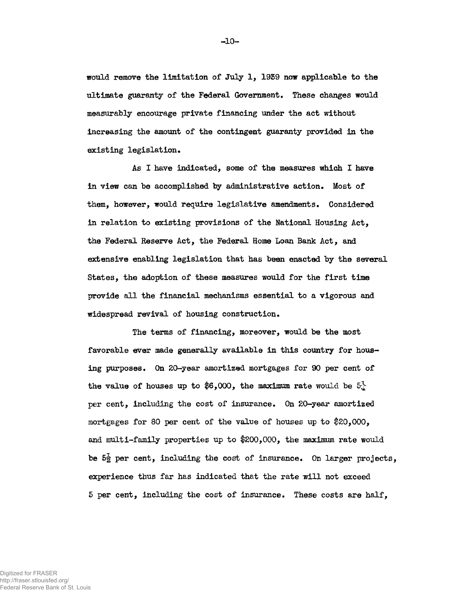would remove the limitation of July 1, 19S9 now applicable to the ultimate guaranty of the Federal Government. These changes would measurably encourage private financing under the act without increasing the amount of the contingent guaranty provided in the existing legislation.

As I have indicated, some of the measures which I have in view can be accomplished by administrative action. Most of them, however, would require legislative amendments. Considered in relation to existing provisions of the National Housing Act, the Federal Reserve Act, the Federal Home Loan Bank Act, and extensive enabling legislation that has been enacted by the several States, the adoption of these measures would for the first time provide all the financial mechanisms essential to a vigorous and widespread revival of housing construction.

The terms of financing, moreover, would be the most favorable ever made generally available in this country for housing purposes. On 20-year amortized mortgages for 90 per cent of the value of houses up to \$6,000, the maximum rate would be  $5\frac{1}{4}$ per cent, including the cost of insurance. On 20-year amortized mortgages for 80 per cent of the value of houses up to \$20,000, and multi-family properties up to  $$200,000$ , the maximum rate would be  $5\frac{1}{2}$  per cent, including the cost of insurance. On larger projects, experience thus far has indicated that the rate will not exceed 5 per cent, including the cost of insurance. These costs are half,

-10-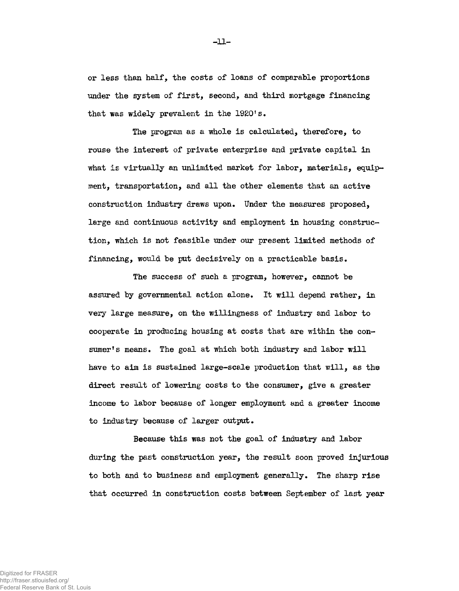or less than half, the costs of loans of comparable proportions under the system of first, second, and third mortgage financing that was widely prevalent in the 1920's.

The program as a whole is calculated, therefore, to rouse the interest of private enterprise and private capital in what is virtually an unlimited market for labor, materials, equipment, transportation, and all the other elements that an active construction industry draws upon. Under the measures proposed, large and continuous activity and employment in housing construction, which is not feasible under our present limited methods of financing, would be put decisively on a practicable basis.

The success of such a program, however, cannot be assured by governmental action alone. It will depend rather, in very large measure, on the willingness of industry and labor to cooperate in producing housing at costs that are within the consumer's means. The goal at which both industry and labor will have to aim is sustained large-scale production that will, as the direct result of lowering costs to the consumer, give a greater income to labor because of longer employment and a greater income to industry because of larger output.

Because this was not the goal of industry and labor during the past construction year, the result soon proved injurious to both and to business and employment generally. The sharp rise that occurred in construction costs between September of last year

-11-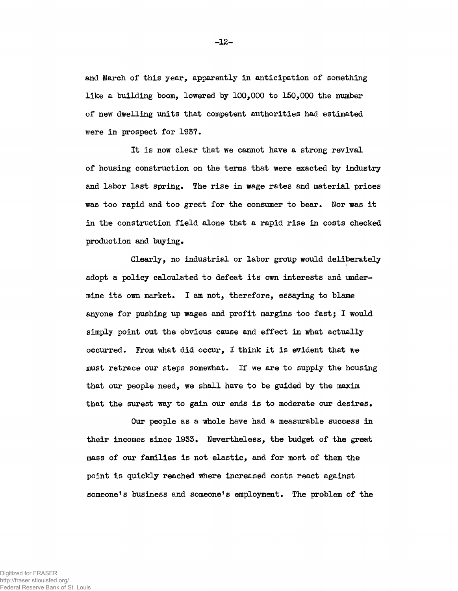and March of this year, apparently in anticipation of something like a building boom, lowered by 100,000 to 150,000 the number of new dwelling units that competent authorities had estimated were in prospect for 1937.

It is now clear that we cannot have a strong revival of housing construction on the terms that were exacted by industry and labor last spring. The rise in wage rates and material prices was too rapid and too great for the consumer to bear. Nor was it in the construction field alone that a rapid rise in costs checked production and buying.

Clearly, no industrial or labor group would deliberately adopt a policy calculated to defeat its own interests and undermine its own market. I am not, therefore, essaying to blame anyone for pushing up wages and profit margins too fast; I would simply point out the obvious cause and effect in what actually occurred. From what did occur, I think it is evident that we must retrace our steps somewhat. If we are to supply the housing that our people need, we shall have to be guided by the maxim that the surest way to gain our ends is to moderate our desires.

Our people as a whole have had a measurable success in their incomes since 1935. Nevertheless, the budget of the great mass of our families is not elastic, and for most of them the point is quickly reached where increased costs react against someone's business and someone's employment. The problem of the

-12-